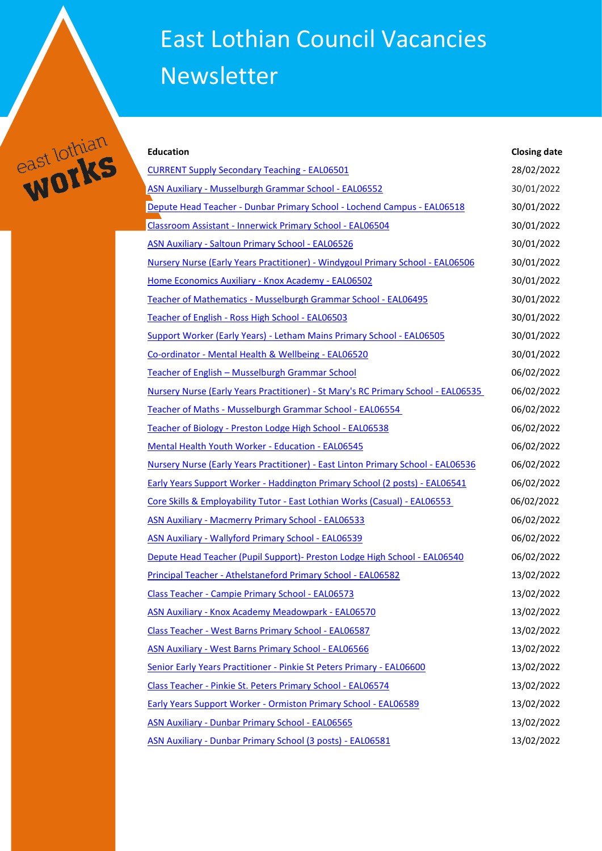## East Lothian Council Vacancies Newsletter



| <b>Education</b>                                                                  | <b>Closing date</b> |
|-----------------------------------------------------------------------------------|---------------------|
| <b>CURRENT Supply Secondary Teaching - EAL06501</b>                               | 28/02/2022          |
| ASN Auxiliary - Musselburgh Grammar School - EAL06552                             | 30/01/2022          |
| Depute Head Teacher - Dunbar Primary School - Lochend Campus - EAL06518           | 30/01/2022          |
| Classroom Assistant - Innerwick Primary School - EAL06504                         | 30/01/2022          |
| <b>ASN Auxiliary - Saltoun Primary School - EAL06526</b>                          | 30/01/2022          |
| Nursery Nurse (Early Years Practitioner) - Windygoul Primary School - EAL06506    | 30/01/2022          |
| Home Economics Auxiliary - Knox Academy - EAL06502                                | 30/01/2022          |
| Teacher of Mathematics - Musselburgh Grammar School - EAL06495                    | 30/01/2022          |
| Teacher of English - Ross High School - EAL06503                                  | 30/01/2022          |
| Support Worker (Early Years) - Letham Mains Primary School - EAL06505             | 30/01/2022          |
| Co-ordinator - Mental Health & Wellbeing - EAL06520                               | 30/01/2022          |
| Teacher of English - Musselburgh Grammar School                                   | 06/02/2022          |
| Nursery Nurse (Early Years Practitioner) - St Mary's RC Primary School - EAL06535 | 06/02/2022          |
| Teacher of Maths - Musselburgh Grammar School - EAL06554                          | 06/02/2022          |
| Teacher of Biology - Preston Lodge High School - EAL06538                         | 06/02/2022          |
| Mental Health Youth Worker - Education - EAL06545                                 | 06/02/2022          |
| Nursery Nurse (Early Years Practitioner) - East Linton Primary School - EAL06536  | 06/02/2022          |
| Early Years Support Worker - Haddington Primary School (2 posts) - EAL06541       | 06/02/2022          |
| Core Skills & Employability Tutor - East Lothian Works (Casual) - EAL06553        | 06/02/2022          |
| <b>ASN Auxiliary - Macmerry Primary School - EAL06533</b>                         | 06/02/2022          |
| <b>ASN Auxiliary - Wallyford Primary School - EAL06539</b>                        | 06/02/2022          |
| Depute Head Teacher (Pupil Support) - Preston Lodge High School - EAL06540        | 06/02/2022          |
| Principal Teacher - Athelstaneford Primary School - EAL06582                      | 13/02/2022          |
| Class Teacher - Campie Primary School - EAL06573                                  | 13/02/2022          |
| ASN Auxiliary - Knox Academy Meadowpark - EAL06570                                | 13/02/2022          |
| Class Teacher - West Barns Primary School - EAL06587                              | 13/02/2022          |
| <b>ASN Auxiliary - West Barns Primary School - EAL06566</b>                       | 13/02/2022          |
| Senior Early Years Practitioner - Pinkie St Peters Primary - EAL06600             | 13/02/2022          |
| Class Teacher - Pinkie St. Peters Primary School - EAL06574                       | 13/02/2022          |
| Early Years Support Worker - Ormiston Primary School - EAL06589                   | 13/02/2022          |
| <b>ASN Auxiliary - Dunbar Primary School - EAL06565</b>                           | 13/02/2022          |
| ASN Auxiliary - Dunbar Primary School (3 posts) - EAL06581                        | 13/02/2022          |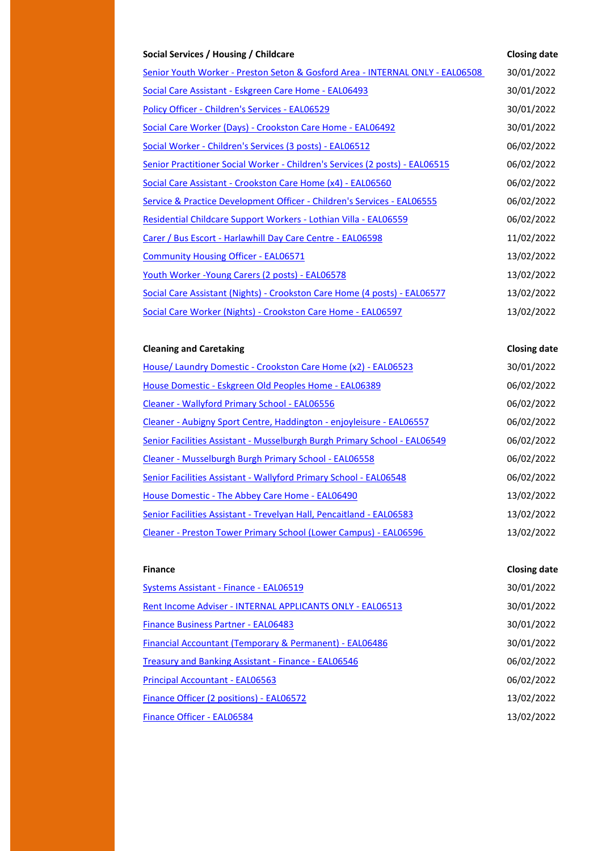| Social Services / Housing / Childcare                                         | <b>Closing date</b> |
|-------------------------------------------------------------------------------|---------------------|
| Senior Youth Worker - Preston Seton & Gosford Area - INTERNAL ONLY - EAL06508 | 30/01/2022          |
| Social Care Assistant - Eskgreen Care Home - EAL06493                         | 30/01/2022          |
| Policy Officer - Children's Services - EAL06529                               | 30/01/2022          |
| Social Care Worker (Days) - Crookston Care Home - EAL06492                    | 30/01/2022          |
| Social Worker - Children's Services (3 posts) - EAL06512                      | 06/02/2022          |
| Senior Practitioner Social Worker - Children's Services (2 posts) - EAL06515  | 06/02/2022          |
| Social Care Assistant - Crookston Care Home (x4) - EAL06560                   | 06/02/2022          |
| Service & Practice Development Officer - Children's Services - EAL06555       | 06/02/2022          |
| Residential Childcare Support Workers - Lothian Villa - EAL06559              | 06/02/2022          |
| Carer / Bus Escort - Harlawhill Day Care Centre - EAL06598                    | 11/02/2022          |
| <b>Community Housing Officer - EAL06571</b>                                   | 13/02/2022          |
| Youth Worker - Young Carers (2 posts) - EAL06578                              | 13/02/2022          |
| Social Care Assistant (Nights) - Crookston Care Home (4 posts) - EAL06577     | 13/02/2022          |
| Social Care Worker (Nights) - Crookston Care Home - EAL06597                  | 13/02/2022          |
|                                                                               |                     |
| <b>Cleaning and Caretaking</b>                                                | <b>Closing date</b> |
| House/ Laundry Domestic - Crookston Care Home (x2) - EAL06523                 | 30/01/2022          |
| House Domestic - Eskgreen Old Peoples Home - EAL06389                         | 06/02/2022          |
| Cleaner - Wallyford Primary School - EAL06556                                 | 06/02/2022          |
| Cleaner - Aubigny Sport Centre, Haddington - enjoyleisure - EAL06557          | 06/02/2022          |
| Senior Facilities Assistant - Musselburgh Burgh Primary School - EAL06549     | 06/02/2022          |
| Cleaner - Musselburgh Burgh Primary School - EAL06558                         | 06/02/2022          |
| Senior Facilities Assistant - Wallyford Primary School - EAL06548             | 06/02/2022          |
| House Domestic - The Abbey Care Home - EAL06490                               | 13/02/2022          |
| Senior Facilities Assistant - Trevelyan Hall, Pencaitland - EAL06583          | 13/02/2022          |
| Cleaner - Preston Tower Primary School (Lower Campus) - EAL06596              | 13/02/2022          |
|                                                                               |                     |

| <b>Finance</b>                                            | <b>Closing date</b> |
|-----------------------------------------------------------|---------------------|
| Systems Assistant - Finance - EAL06519                    | 30/01/2022          |
| Rent Income Adviser - INTERNAL APPLICANTS ONLY - EAL06513 | 30/01/2022          |
| <b>Finance Business Partner - EAL06483</b>                | 30/01/2022          |
| Financial Accountant (Temporary & Permanent) - EAL06486   | 30/01/2022          |
| Treasury and Banking Assistant - Finance - EAL06546       | 06/02/2022          |
| <b>Principal Accountant - EAL06563</b>                    | 06/02/2022          |
| Finance Officer (2 positions) - EAL06572                  | 13/02/2022          |
| Finance Officer - EAL06584                                | 13/02/2022          |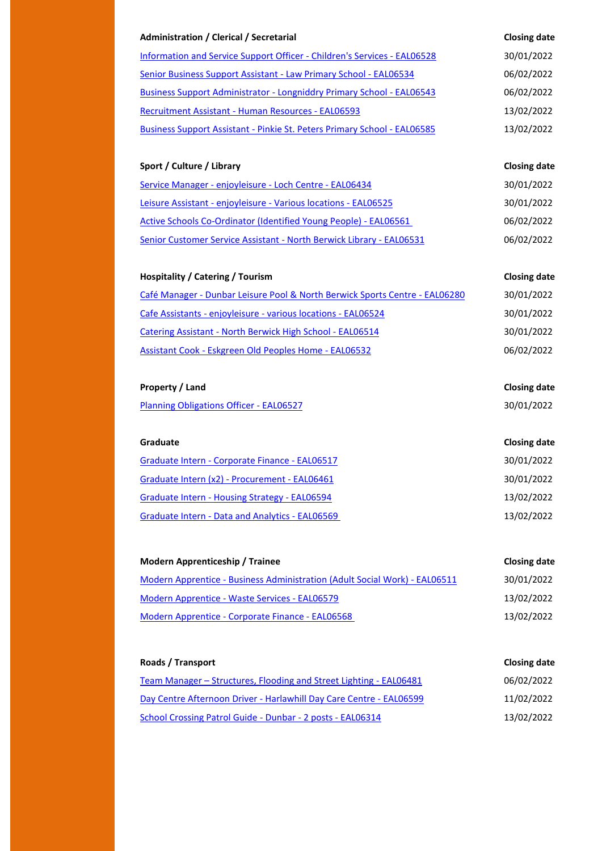| Administration / Clerical / Secretarial                                      | <b>Closing date</b> |
|------------------------------------------------------------------------------|---------------------|
| Information and Service Support Officer - Children's Services - EAL06528     | 30/01/2022          |
| Senior Business Support Assistant - Law Primary School - EAL06534            | 06/02/2022          |
| <b>Business Support Administrator - Longniddry Primary School - EAL06543</b> | 06/02/2022          |
| <b>Recruitment Assistant - Human Resources - EAL06593</b>                    | 13/02/2022          |
| Business Support Assistant - Pinkie St. Peters Primary School - EAL06585     | 13/02/2022          |
|                                                                              |                     |

## **Sport / Culture / Library Closing date**

| Service Manager - enjoyleisure - Loch Centre - EAL06434              | 30/01/2022 |
|----------------------------------------------------------------------|------------|
| Leisure Assistant - enjoyleisure - Various locations - EAL06525      | 30/01/2022 |
| Active Schools Co-Ordinator (Identified Young People) - EAL06561     | 06/02/2022 |
| Senior Customer Service Assistant - North Berwick Library - EAL06531 | 06/02/2022 |

## **Hospitality / Catering / Tourism Closing date**

| Café Manager - Dunbar Leisure Pool & North Berwick Sports Centre - EAL06280 | 30/01/2022 |
|-----------------------------------------------------------------------------|------------|
| Cafe Assistants - enjoyleisure - various locations - EAL06524               | 30/01/2022 |
| Catering Assistant - North Berwick High School - EAL06514                   | 30/01/2022 |
| Assistant Cook - Eskgreen Old Peoples Home - EAL06532                       | 06/02/2022 |

## **Property / Land Closing date**

[Planning Obligations Officer -](https://www.myjobscotland.gov.uk/councils/east-lothian-council/jobs/planning-obligations-officer-254372) EAL06527 30/01/2022

| <b>Graduate</b>                                 | <b>Closing date</b> |
|-------------------------------------------------|---------------------|
| Graduate Intern - Corporate Finance - EAL06517  | 30/01/2022          |
| Graduate Intern (x2) - Procurement - EAL06461   | 30/01/2022          |
| Graduate Intern - Housing Strategy - EAL06594   | 13/02/2022          |
| Graduate Intern - Data and Analytics - EAL06569 | 13/02/2022          |

| <b>Modern Apprenticeship / Trainee</b>                                     | <b>Closing date</b> |
|----------------------------------------------------------------------------|---------------------|
| Modern Apprentice - Business Administration (Adult Social Work) - EAL06511 | 30/01/2022          |
| <b>Modern Apprentice - Waste Services - EAL06579</b>                       | 13/02/2022          |
| Modern Apprentice - Corporate Finance - EAL06568                           | 13/02/2022          |

| Roads / Transport                                                   | <b>Closing date</b> |
|---------------------------------------------------------------------|---------------------|
| Team Manager – Structures, Flooding and Street Lighting - EAL06481  | 06/02/2022          |
| Day Centre Afternoon Driver - Harlawhill Day Care Centre - EAL06599 | 11/02/2022          |
| School Crossing Patrol Guide - Dunbar - 2 posts - EAL06314          | 13/02/2022          |